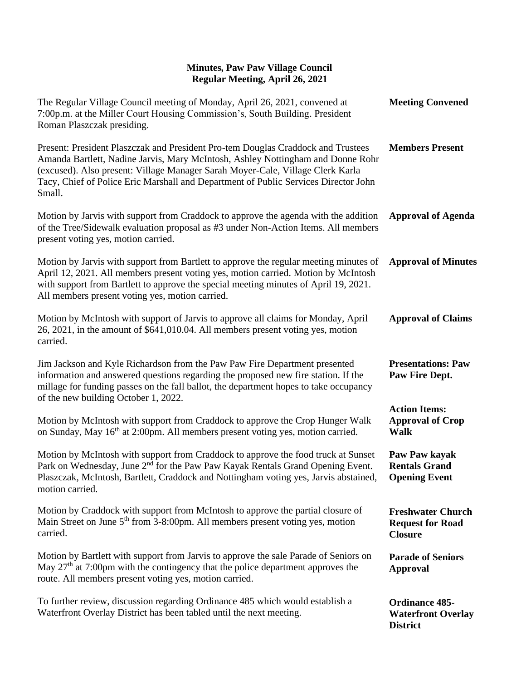| The Regular Village Council meeting of Monday, April 26, 2021, convened at<br>7:00p.m. at the Miller Court Housing Commission's, South Building. President<br>Roman Plaszczak presiding.                                                                                                                                                               | <b>Meeting Convened</b>                                               |
|--------------------------------------------------------------------------------------------------------------------------------------------------------------------------------------------------------------------------------------------------------------------------------------------------------------------------------------------------------|-----------------------------------------------------------------------|
| Present: President Plaszczak and President Pro-tem Douglas Craddock and Trustees<br>Amanda Bartlett, Nadine Jarvis, Mary McIntosh, Ashley Nottingham and Donne Rohr<br>(excused). Also present: Village Manager Sarah Moyer-Cale, Village Clerk Karla<br>Tacy, Chief of Police Eric Marshall and Department of Public Services Director John<br>Small. | <b>Members Present</b>                                                |
| Motion by Jarvis with support from Craddock to approve the agenda with the addition<br>of the Tree/Sidewalk evaluation proposal as #3 under Non-Action Items. All members<br>present voting yes, motion carried.                                                                                                                                       | <b>Approval of Agenda</b>                                             |
| Motion by Jarvis with support from Bartlett to approve the regular meeting minutes of<br>April 12, 2021. All members present voting yes, motion carried. Motion by McIntosh<br>with support from Bartlett to approve the special meeting minutes of April 19, 2021.<br>All members present voting yes, motion carried.                                 | <b>Approval of Minutes</b>                                            |
| Motion by McIntosh with support of Jarvis to approve all claims for Monday, April<br>26, 2021, in the amount of \$641,010.04. All members present voting yes, motion<br>carried.                                                                                                                                                                       | <b>Approval of Claims</b>                                             |
| Jim Jackson and Kyle Richardson from the Paw Paw Fire Department presented<br>information and answered questions regarding the proposed new fire station. If the<br>millage for funding passes on the fall ballot, the department hopes to take occupancy<br>of the new building October 1, 2022.                                                      | <b>Presentations: Paw</b><br>Paw Fire Dept.                           |
| Motion by McIntosh with support from Craddock to approve the Crop Hunger Walk<br>on Sunday, May 16 <sup>th</sup> at 2:00pm. All members present voting yes, motion carried.                                                                                                                                                                            | <b>Action Items:</b><br><b>Approval of Crop</b><br><b>Walk</b>        |
| Motion by McIntosh with support from Craddock to approve the food truck at Sunset<br>Park on Wednesday, June 2 <sup>nd</sup> for the Paw Paw Kayak Rentals Grand Opening Event.<br>Plaszczak, McIntosh, Bartlett, Craddock and Nottingham voting yes, Jarvis abstained,<br>motion carried.                                                             | Paw Paw kayak<br><b>Rentals Grand</b><br><b>Opening Event</b>         |
| Motion by Craddock with support from McIntosh to approve the partial closure of<br>Main Street on June 5 <sup>th</sup> from 3-8:00pm. All members present voting yes, motion<br>carried.                                                                                                                                                               | <b>Freshwater Church</b><br><b>Request for Road</b><br><b>Closure</b> |
| Motion by Bartlett with support from Jarvis to approve the sale Parade of Seniors on<br>May $27th$ at 7:00pm with the contingency that the police department approves the<br>route. All members present voting yes, motion carried.                                                                                                                    | <b>Parade of Seniors</b><br><b>Approval</b>                           |
| To further review, discussion regarding Ordinance 485 which would establish a<br>Waterfront Overlay District has been tabled until the next meeting.                                                                                                                                                                                                   | <b>Ordinance 485-</b><br><b>Waterfront Overlay</b><br><b>District</b> |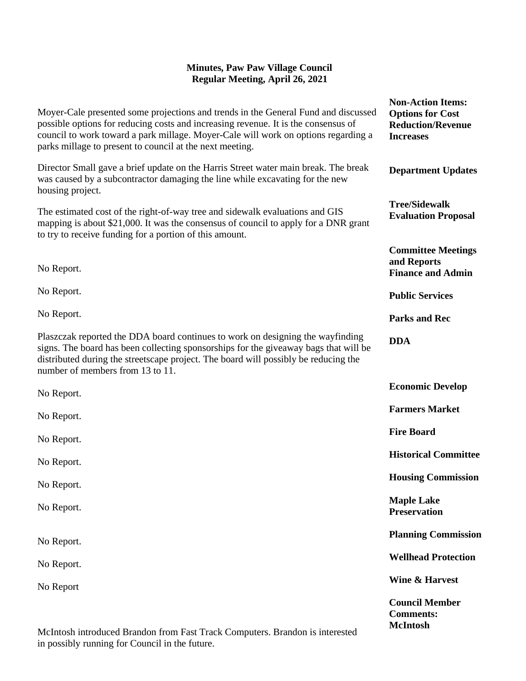|                                                                                                                                                                                                                                                                                                                            | <b>Non-Action Items:</b>                                                |
|----------------------------------------------------------------------------------------------------------------------------------------------------------------------------------------------------------------------------------------------------------------------------------------------------------------------------|-------------------------------------------------------------------------|
| Moyer-Cale presented some projections and trends in the General Fund and discussed<br>possible options for reducing costs and increasing revenue. It is the consensus of<br>council to work toward a park millage. Moyer-Cale will work on options regarding a<br>parks millage to present to council at the next meeting. | <b>Options for Cost</b><br><b>Reduction/Revenue</b><br><b>Increases</b> |
| Director Small gave a brief update on the Harris Street water main break. The break<br>was caused by a subcontractor damaging the line while excavating for the new<br>housing project.                                                                                                                                    | <b>Department Updates</b>                                               |
| The estimated cost of the right-of-way tree and sidewalk evaluations and GIS<br>mapping is about \$21,000. It was the consensus of council to apply for a DNR grant<br>to try to receive funding for a portion of this amount.                                                                                             | <b>Tree/Sidewalk</b><br><b>Evaluation Proposal</b>                      |
| No Report.                                                                                                                                                                                                                                                                                                                 | <b>Committee Meetings</b><br>and Reports<br><b>Finance and Admin</b>    |
| No Report.                                                                                                                                                                                                                                                                                                                 | <b>Public Services</b>                                                  |
| No Report.                                                                                                                                                                                                                                                                                                                 | <b>Parks and Rec</b>                                                    |
| Plaszczak reported the DDA board continues to work on designing the wayfinding<br>signs. The board has been collecting sponsorships for the giveaway bags that will be<br>distributed during the streetscape project. The board will possibly be reducing the<br>number of members from 13 to 11.                          | <b>DDA</b>                                                              |
| No Report.                                                                                                                                                                                                                                                                                                                 | <b>Economic Develop</b>                                                 |
| No Report.                                                                                                                                                                                                                                                                                                                 | <b>Farmers Market</b>                                                   |
| No Report.                                                                                                                                                                                                                                                                                                                 | <b>Fire Board</b>                                                       |
| No Report.                                                                                                                                                                                                                                                                                                                 | <b>Historical Committee</b>                                             |
| No Report.                                                                                                                                                                                                                                                                                                                 | <b>Housing Commission</b>                                               |
| No Report.                                                                                                                                                                                                                                                                                                                 | <b>Maple Lake</b><br><b>Preservation</b>                                |
| No Report.                                                                                                                                                                                                                                                                                                                 | <b>Planning Commission</b>                                              |
| No Report.                                                                                                                                                                                                                                                                                                                 | <b>Wellhead Protection</b>                                              |
| No Report                                                                                                                                                                                                                                                                                                                  | Wine & Harvest                                                          |
|                                                                                                                                                                                                                                                                                                                            | <b>Council Member</b><br><b>Comments:</b><br><b>McIntosh</b>            |

McIntosh introduced Brandon from Fast Track Computers. Brandon is interested in possibly running for Council in the future.